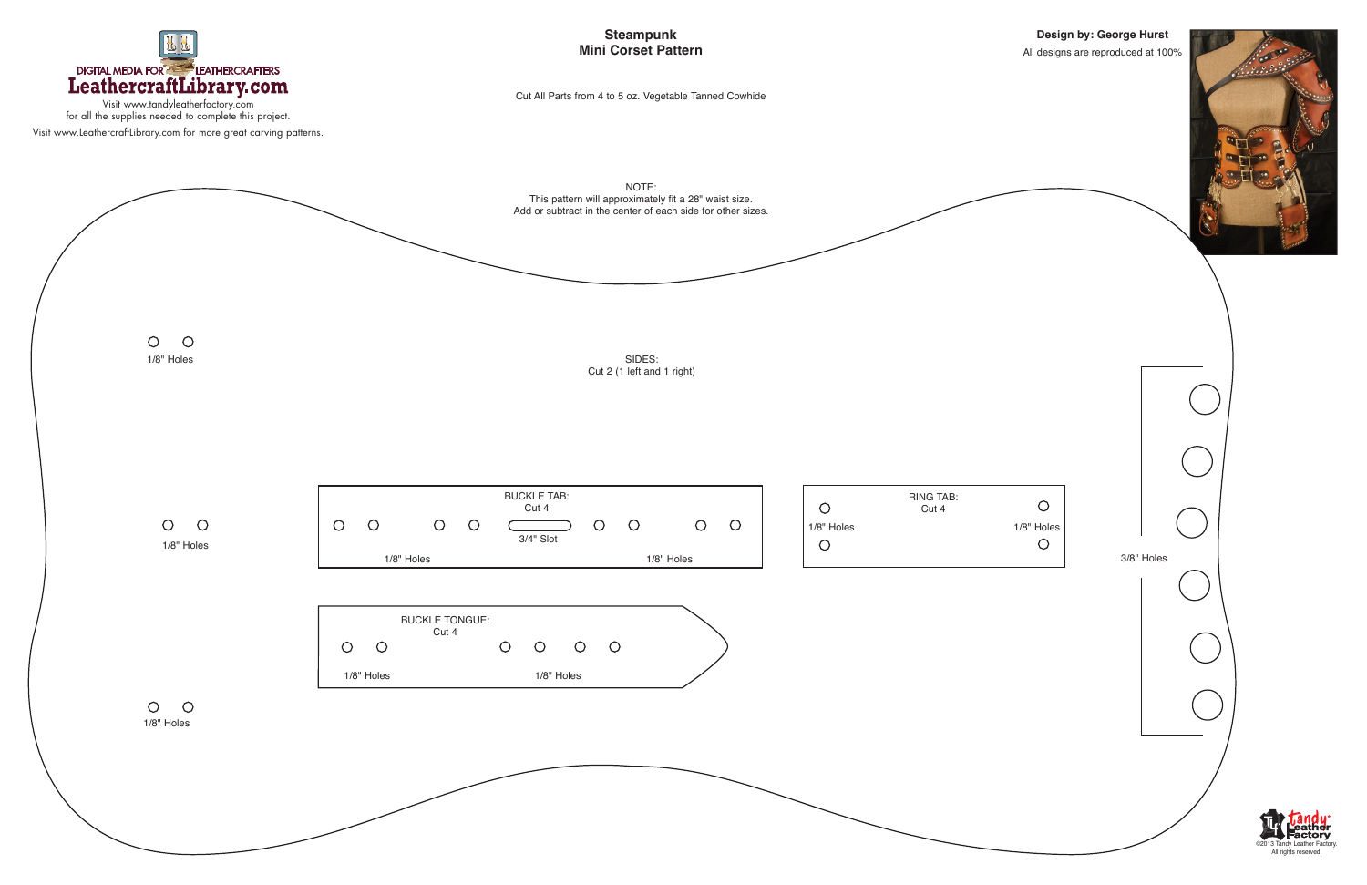

Visit www.tandyleatherfactory.com for all the supplies needed to complete this project. Visit www.LeathercraftLibrary.com for more great carving patterns.

## **Design by: George Hurst** All designs are reproduced at 100%



**Steampunk Mini Corset Pattern**

Cut All Parts from 4 to 5 oz. Vegetable Tanned Cowhide





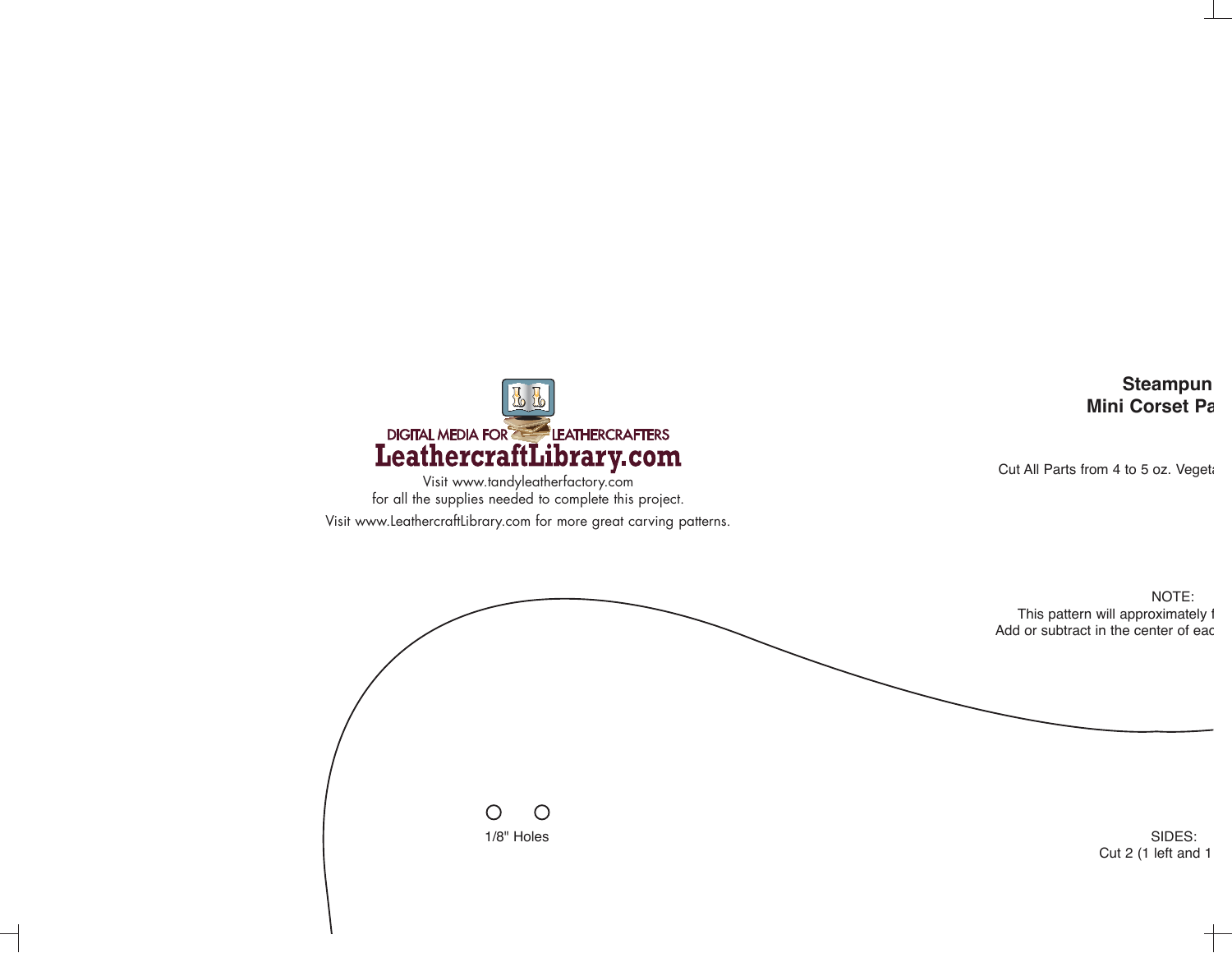

Visit www.tandyleatherfactory.com for all the supplies needed to complete this project. Visit www.LeathercraftLibrary.com for more great carving patterns.

**Steampun Mini Corset Pa**

Cut All Parts from 4 to 5 oz. Vegeta

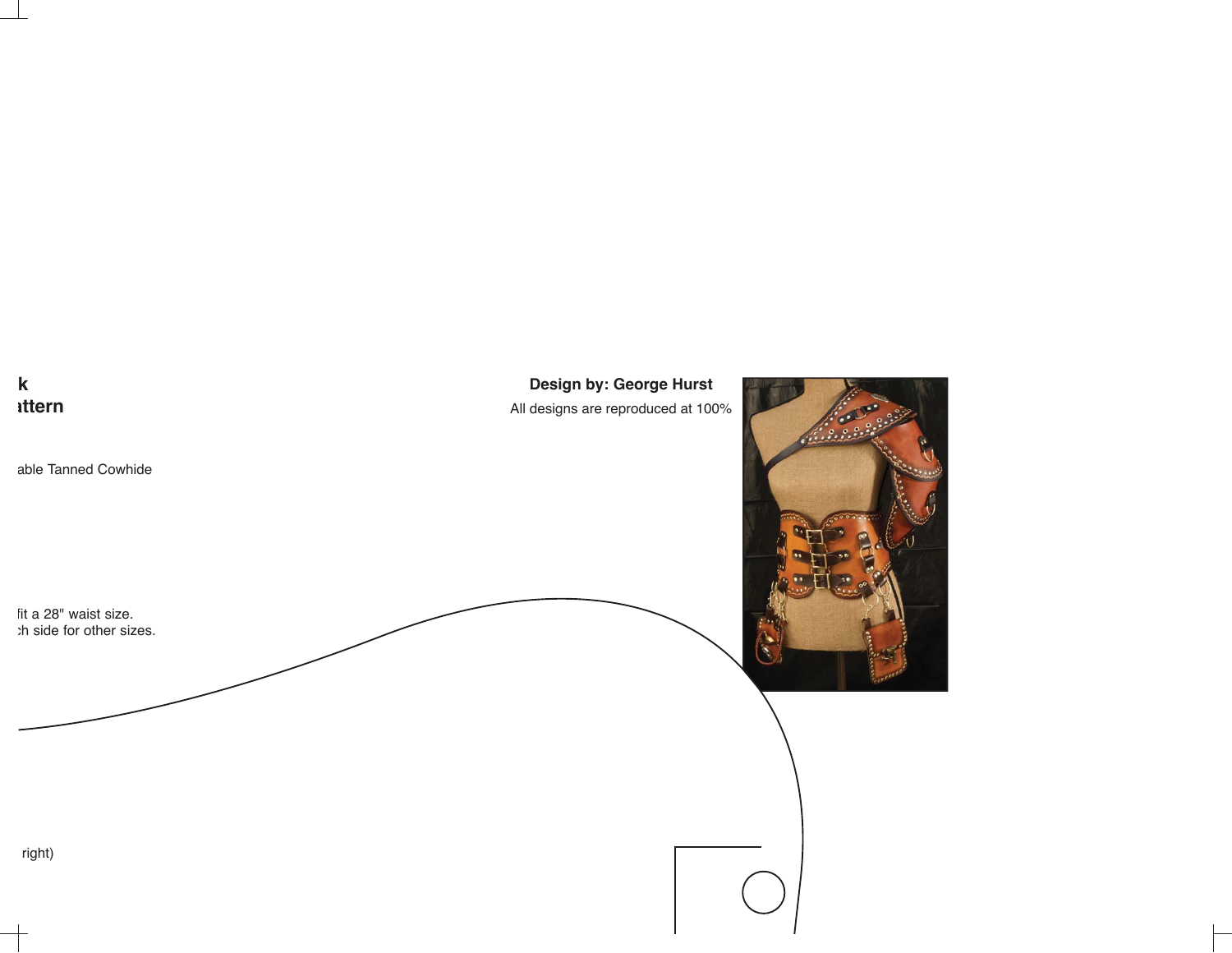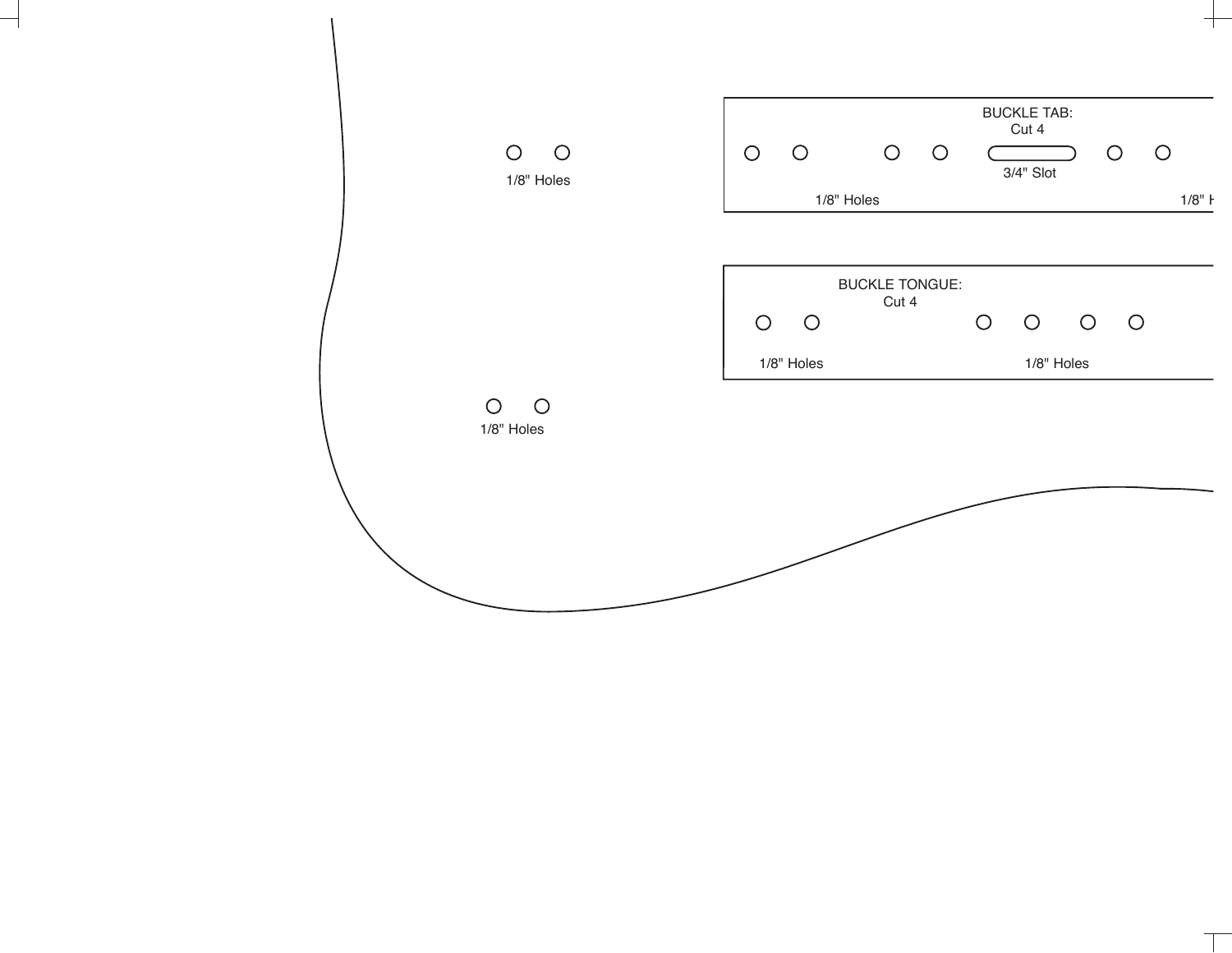

╅

 $\top$